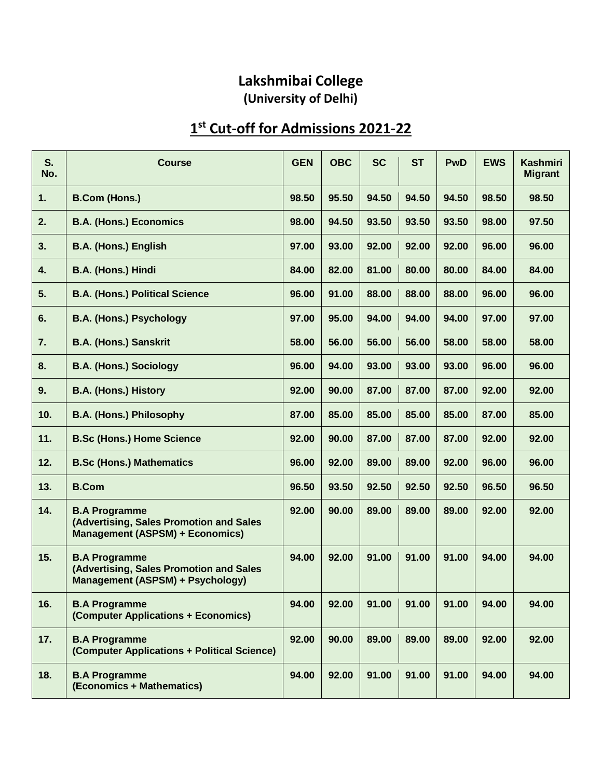## **Lakshmibai College (University of Delhi)**

## **1 st Cut-off for Admissions 2021-22**

| S.<br>No.               | <b>Course</b>                                                                                             | <b>GEN</b> | <b>OBC</b> | <b>SC</b> | <b>ST</b> | <b>PwD</b> | <b>EWS</b> | <b>Kashmiri</b><br><b>Migrant</b> |
|-------------------------|-----------------------------------------------------------------------------------------------------------|------------|------------|-----------|-----------|------------|------------|-----------------------------------|
| 1.                      | <b>B.Com (Hons.)</b>                                                                                      | 98.50      | 95.50      | 94.50     | 94.50     | 94.50      | 98.50      | 98.50                             |
| 2.                      | <b>B.A. (Hons.) Economics</b>                                                                             | 98.00      | 94.50      | 93.50     | 93.50     | 93.50      | 98.00      | 97.50                             |
| 3.                      | <b>B.A. (Hons.) English</b>                                                                               | 97.00      | 93.00      | 92.00     | 92.00     | 92.00      | 96.00      | 96.00                             |
| $\overline{\mathbf{4}}$ | B.A. (Hons.) Hindi                                                                                        | 84.00      | 82.00      | 81.00     | 80.00     | 80.00      | 84.00      | 84.00                             |
| 5.                      | <b>B.A. (Hons.) Political Science</b>                                                                     | 96.00      | 91.00      | 88.00     | 88.00     | 88.00      | 96.00      | 96.00                             |
| 6.                      | <b>B.A. (Hons.) Psychology</b>                                                                            | 97.00      | 95.00      | 94.00     | 94.00     | 94.00      | 97.00      | 97.00                             |
| 7.                      | <b>B.A. (Hons.) Sanskrit</b>                                                                              | 58.00      | 56.00      | 56.00     | 56.00     | 58.00      | 58.00      | 58.00                             |
| 8.                      | <b>B.A. (Hons.) Sociology</b>                                                                             | 96.00      | 94.00      | 93.00     | 93.00     | 93.00      | 96.00      | 96.00                             |
| 9.                      | <b>B.A. (Hons.) History</b>                                                                               | 92.00      | 90.00      | 87.00     | 87.00     | 87.00      | 92.00      | 92.00                             |
| 10.                     | <b>B.A. (Hons.) Philosophy</b>                                                                            | 87.00      | 85.00      | 85.00     | 85.00     | 85.00      | 87.00      | 85.00                             |
| 11.                     | <b>B.Sc (Hons.) Home Science</b>                                                                          | 92.00      | 90.00      | 87.00     | 87.00     | 87.00      | 92.00      | 92.00                             |
| 12.                     | <b>B.Sc (Hons.) Mathematics</b>                                                                           | 96.00      | 92.00      | 89.00     | 89.00     | 92.00      | 96.00      | 96.00                             |
| 13.                     | <b>B.Com</b>                                                                                              | 96.50      | 93.50      | 92.50     | 92.50     | 92.50      | 96.50      | 96.50                             |
| 14.                     | <b>B.A Programme</b><br>(Advertising, Sales Promotion and Sales<br><b>Management (ASPSM) + Economics)</b> | 92.00      | 90.00      | 89.00     | 89.00     | 89.00      | 92.00      | 92.00                             |
| 15.                     | <b>B.A Programme</b><br>(Advertising, Sales Promotion and Sales<br>Management (ASPSM) + Psychology)       | 94.00      | 92.00      | 91.00     | 91.00     | 91.00      | 94.00      | 94.00                             |
| 16.                     | <b>B.A Programme</b><br>(Computer Applications + Economics)                                               | 94.00      | 92.00      | 91.00     | 91.00     | 91.00      | 94.00      | 94.00                             |
| 17.                     | <b>B.A Programme</b><br>(Computer Applications + Political Science)                                       | 92.00      | 90.00      | 89.00     | 89.00     | 89.00      | 92.00      | 92.00                             |
| 18.                     | <b>B.A Programme</b><br>(Economics + Mathematics)                                                         | 94.00      | 92.00      | 91.00     | 91.00     | 91.00      | 94.00      | 94.00                             |